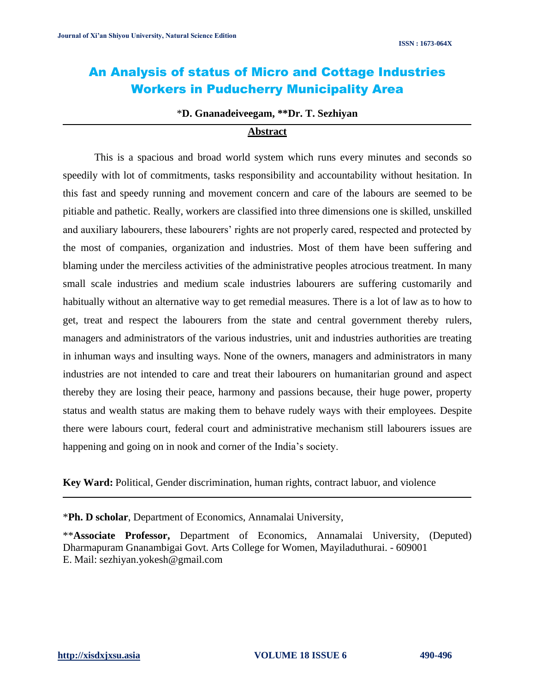# An Analysis of status of Micro and Cottage Industries Workers in Puducherry Municipality Area

#### \***D. Gnanadeiveegam, \*\*Dr. T. Sezhiyan**

#### **Abstract**

This is a spacious and broad world system which runs every minutes and seconds so speedily with lot of commitments, tasks responsibility and accountability without hesitation. In this fast and speedy running and movement concern and care of the labours are seemed to be pitiable and pathetic. Really, workers are classified into three dimensions one is skilled, unskilled and auxiliary labourers, these labourers' rights are not properly cared, respected and protected by the most of companies, organization and industries. Most of them have been suffering and blaming under the merciless activities of the administrative peoples atrocious treatment. In many small scale industries and medium scale industries labourers are suffering customarily and habitually without an alternative way to get remedial measures. There is a lot of law as to how to get, treat and respect the labourers from the state and central government thereby rulers, managers and administrators of the various industries, unit and industries authorities are treating in inhuman ways and insulting ways. None of the owners, managers and administrators in many industries are not intended to care and treat their labourers on humanitarian ground and aspect thereby they are losing their peace, harmony and passions because, their huge power, property status and wealth status are making them to behave rudely ways with their employees. Despite there were labours court, federal court and administrative mechanism still labourers issues are happening and going on in nook and corner of the India's society.

**Key Ward:** Political, Gender discrimination, human rights, contract labuor, and violence

\***Ph. D scholar**, Department of Economics, Annamalai University,

\*\***Associate Professor,** Department of Economics, Annamalai University, (Deputed) Dharmapuram Gnanambigai Govt. Arts College for Women, Mayiladuthurai. - 609001 E. Mail: [sezhiyan.yokesh@gmail.com](mailto:sezhiyan.yokesh@gmail.com)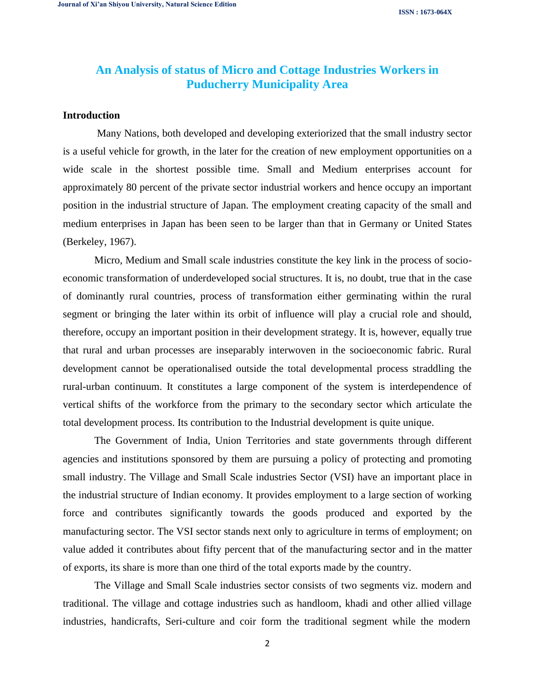**ISSN : 1673-064X**

# **An Analysis of status of Micro and Cottage Industries Workers in Puducherry Municipality Area**

# **Introduction**

Many Nations, both developed and developing exteriorized that the small industry sector is a useful vehicle for growth, in the later for the creation of new employment opportunities on a wide scale in the shortest possible time. Small and Medium enterprises account for approximately 80 percent of the private sector industrial workers and hence occupy an important position in the industrial structure of Japan. The employment creating capacity of the small and medium enterprises in Japan has been seen to be larger than that in Germany or United States (Berkeley, 1967).

Micro, Medium and Small scale industries constitute the key link in the process of socioeconomic transformation of underdeveloped social structures. It is, no doubt, true that in the case of dominantly rural countries, process of transformation either germinating within the rural segment or bringing the later within its orbit of influence will play a crucial role and should, therefore, occupy an important position in their development strategy. It is, however, equally true that rural and urban processes are inseparably interwoven in the socioeconomic fabric. Rural development cannot be operationalised outside the total developmental process straddling the rural-urban continuum. It constitutes a large component of the system is interdependence of vertical shifts of the workforce from the primary to the secondary sector which articulate the total development process. Its contribution to the Industrial development is quite unique.

The Government of India, Union Territories and state governments through different agencies and institutions sponsored by them are pursuing a policy of protecting and promoting small industry. The Village and Small Scale industries Sector (VSI) have an important place in the industrial structure of Indian economy. It provides employment to a large section of working force and contributes significantly towards the goods produced and exported by the manufacturing sector. The VSI sector stands next only to agriculture in terms of employment; on value added it contributes about fifty percent that of the manufacturing sector and in the matter of exports, its share is more than one third of the total exports made by the country.

The Village and Small Scale industries sector consists of two segments viz. modern and traditional. The village and cottage industries such as handloom, khadi and other allied village industries, handicrafts, Seri-culture and coir form the traditional segment while the modern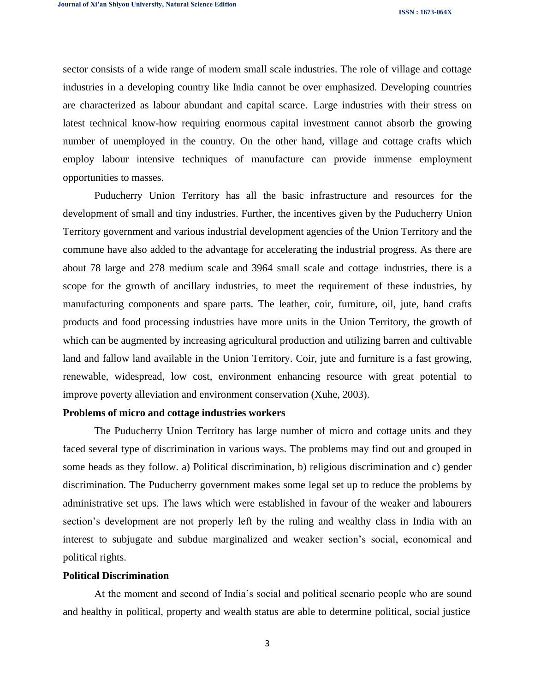sector consists of a wide range of modern small scale industries. The role of village and cottage industries in a developing country like India cannot be over emphasized. Developing countries are characterized as labour abundant and capital scarce. Large industries with their stress on latest technical know-how requiring enormous capital investment cannot absorb the growing number of unemployed in the country. On the other hand, village and cottage crafts which employ labour intensive techniques of manufacture can provide immense employment opportunities to masses.

Puducherry Union Territory has all the basic infrastructure and resources for the development of small and tiny industries. Further, the incentives given by the Puducherry Union Territory government and various industrial development agencies of the Union Territory and the commune have also added to the advantage for accelerating the industrial progress. As there are about 78 large and 278 medium scale and 3964 small scale and cottage industries, there is a scope for the growth of ancillary industries, to meet the requirement of these industries, by manufacturing components and spare parts. The leather, coir, furniture, oil, jute, hand crafts products and food processing industries have more units in the Union Territory, the growth of which can be augmented by increasing agricultural production and utilizing barren and cultivable land and fallow land available in the Union Territory. Coir, jute and furniture is a fast growing, renewable, widespread, low cost, environment enhancing resource with great potential to improve poverty alleviation and environment conservation (Xuhe, 2003).

### **Problems of micro and cottage industries workers**

The Puducherry Union Territory has large number of micro and cottage units and they faced several type of discrimination in various ways. The problems may find out and grouped in some heads as they follow. a) Political discrimination, b) religious discrimination and c) gender discrimination. The Puducherry government makes some legal set up to reduce the problems by administrative set ups. The laws which were established in favour of the weaker and labourers section's development are not properly left by the ruling and wealthy class in India with an interest to subjugate and subdue marginalized and weaker section's social, economical and political rights.

### **Political Discrimination**

At the moment and second of India's social and political scenario people who are sound and healthy in political, property and wealth status are able to determine political, social justice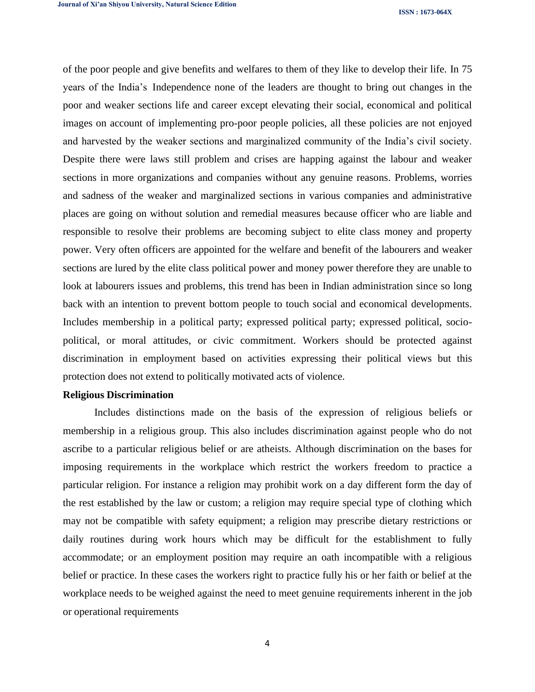**ISSN : 1673-064X**

of the poor people and give benefits and welfares to them of they like to develop their life. In 75 years of the India's Independence none of the leaders are thought to bring out changes in the poor and weaker sections life and career except elevating their social, economical and political images on account of implementing pro-poor people policies, all these policies are not enjoyed and harvested by the weaker sections and marginalized community of the India's civil society. Despite there were laws still problem and crises are happing against the labour and weaker sections in more organizations and companies without any genuine reasons. Problems, worries and sadness of the weaker and marginalized sections in various companies and administrative places are going on without solution and remedial measures because officer who are liable and responsible to resolve their problems are becoming subject to elite class money and property power. Very often officers are appointed for the welfare and benefit of the labourers and weaker sections are lured by the elite class political power and money power therefore they are unable to look at labourers issues and problems, this trend has been in Indian administration since so long back with an intention to prevent bottom people to touch social and economical developments. Includes membership in a political party; expressed political party; expressed political, sociopolitical, or moral attitudes, or civic commitment. Workers should be protected against discrimination in employment based on activities expressing their political views but this protection does not extend to politically motivated acts of violence.

### **Religious Discrimination**

Includes distinctions made on the basis of the expression of religious beliefs or membership in a religious group. This also includes discrimination against people who do not ascribe to a particular religious belief or are atheists. Although discrimination on the bases for imposing requirements in the workplace which restrict the workers freedom to practice a particular religion. For instance a religion may prohibit work on a day different form the day of the rest established by the law or custom; a religion may require special type of clothing which may not be compatible with safety equipment; a religion may prescribe dietary restrictions or daily routines during work hours which may be difficult for the establishment to fully accommodate; or an employment position may require an oath incompatible with a religious belief or practice. In these cases the workers right to practice fully his or her faith or belief at the workplace needs to be weighed against the need to meet genuine requirements inherent in the job or operational requirements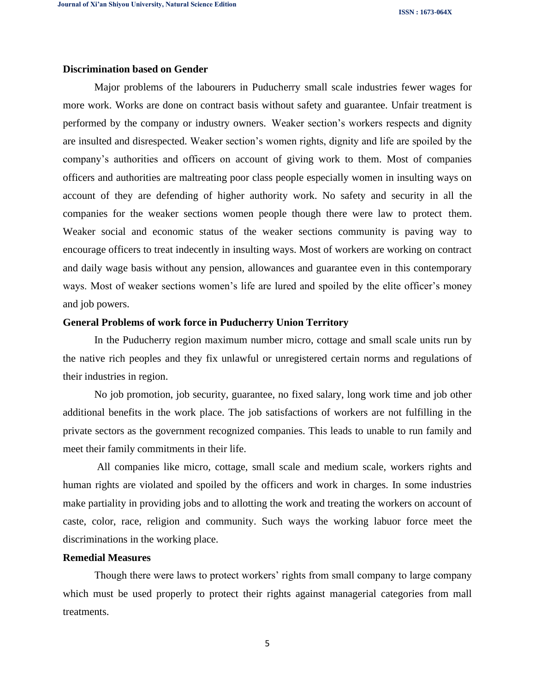**ISSN : 1673-064X**

### **Discrimination based on Gender**

Major problems of the labourers in Puducherry small scale industries fewer wages for more work. Works are done on contract basis without safety and guarantee. Unfair treatment is performed by the company or industry owners. Weaker section's workers respects and dignity are insulted and disrespected. Weaker section's women rights, dignity and life are spoiled by the company's authorities and officers on account of giving work to them. Most of companies officers and authorities are maltreating poor class people especially women in insulting ways on account of they are defending of higher authority work. No safety and security in all the companies for the weaker sections women people though there were law to protect them. Weaker social and economic status of the weaker sections community is paving way to encourage officers to treat indecently in insulting ways. Most of workers are working on contract and daily wage basis without any pension, allowances and guarantee even in this contemporary ways. Most of weaker sections women's life are lured and spoiled by the elite officer's money and job powers.

# **General Problems of work force in Puducherry Union Territory**

In the Puducherry region maximum number micro, cottage and small scale units run by the native rich peoples and they fix unlawful or unregistered certain norms and regulations of their industries in region.

No job promotion, job security, guarantee, no fixed salary, long work time and job other additional benefits in the work place. The job satisfactions of workers are not fulfilling in the private sectors as the government recognized companies. This leads to unable to run family and meet their family commitments in their life.

All companies like micro, cottage, small scale and medium scale, workers rights and human rights are violated and spoiled by the officers and work in charges. In some industries make partiality in providing jobs and to allotting the work and treating the workers on account of caste, color, race, religion and community. Such ways the working labuor force meet the discriminations in the working place.

# **Remedial Measures**

Though there were laws to protect workers' rights from small company to large company which must be used properly to protect their rights against managerial categories from mall treatments.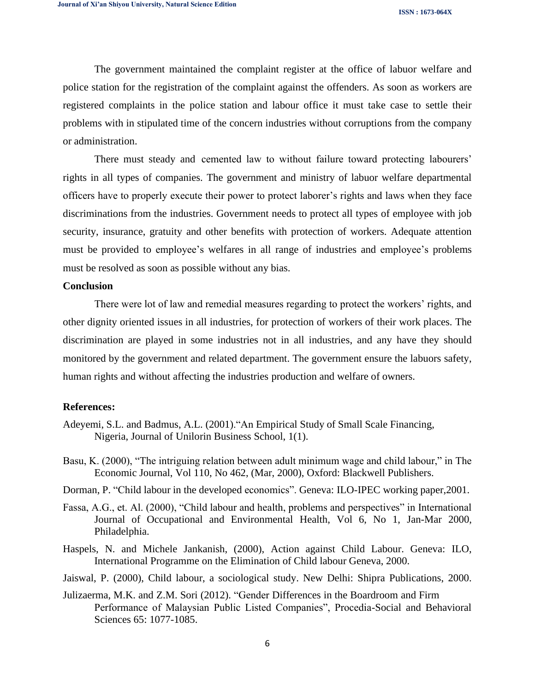The government maintained the complaint register at the office of labuor welfare and police station for the registration of the complaint against the offenders. As soon as workers are registered complaints in the police station and labour office it must take case to settle their problems with in stipulated time of the concern industries without corruptions from the company or administration.

There must steady and cemented law to without failure toward protecting labourers' rights in all types of companies. The government and ministry of labuor welfare departmental officers have to properly execute their power to protect laborer's rights and laws when they face discriminations from the industries. Government needs to protect all types of employee with job security, insurance, gratuity and other benefits with protection of workers. Adequate attention must be provided to employee's welfares in all range of industries and employee's problems must be resolved as soon as possible without any bias.

#### **Conclusion**

There were lot of law and remedial measures regarding to protect the workers' rights, and other dignity oriented issues in all industries, for protection of workers of their work places. The discrimination are played in some industries not in all industries, and any have they should monitored by the government and related department. The government ensure the labuors safety, human rights and without affecting the industries production and welfare of owners.

#### **References:**

- Adeyemi, S.L. and Badmus, A.L. (2001)."An Empirical Study of Small Scale Financing, Nigeria, Journal of Unilorin Business School, 1(1).
- Basu, K. (2000), "The intriguing relation between adult minimum wage and child labour," in The Economic Journal, Vol 110, No 462, (Mar, 2000), Oxford: Blackwell Publishers.
- Dorman, P. "Child labour in the developed economics". Geneva: ILO-IPEC working paper,2001.
- Fassa, A.G., et. Al. (2000), "Child labour and health, problems and perspectives" in International Journal of Occupational and Environmental Health, Vol 6, No 1, Jan-Mar 2000, Philadelphia.
- Haspels, N. and Michele Jankanish, (2000), Action against Child Labour. Geneva: ILO, International Programme on the Elimination of Child labour Geneva, 2000.
- Jaiswal, P. (2000), Child labour, a sociological study. New Delhi: Shipra Publications, 2000.
- Julizaerma, M.K. and Z.M. Sori (2012). "Gender Differences in the Boardroom and Firm Performance of Malaysian Public Listed Companies", Procedia-Social and Behavioral Sciences 65: 1077-1085.